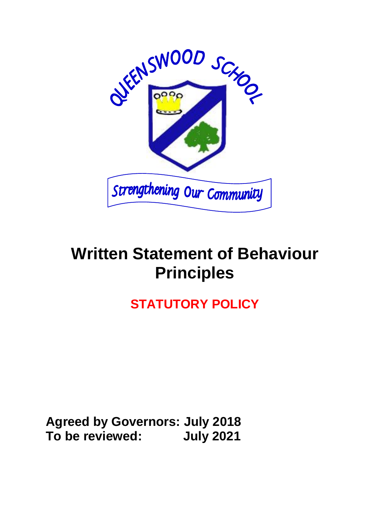

## **Written Statement of Behaviour Principles**

## **STATUTORY POLICY**

**Agreed by Governors: July 2018 To be reviewed: July 2021**